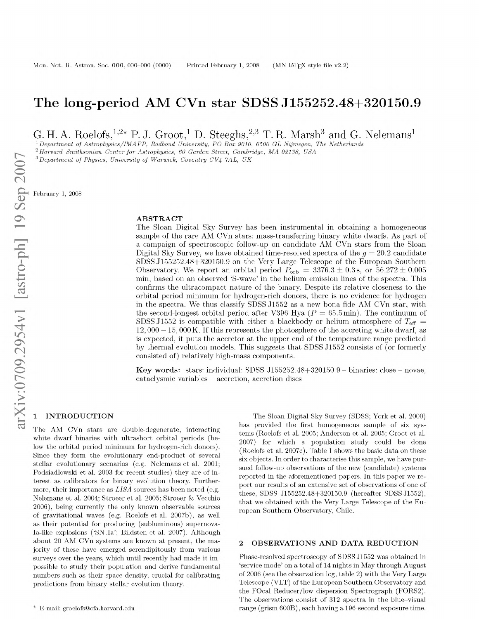# **The long-period AM CVn star SDSS J155252.48+320150.9**

G. H. A. Roelots,  $2^{2*}$  P. J. Groot, D. Steegns,  $2^{2*}$  T. R. Marsh and G. Nelemans

<sup>1</sup> Department of Astrophysics/IMAPP, Radboud University, PO Box 9010, 6500 GL Nijmegen, The Netherlands

<sup>2</sup> Harvard-Smithsonian Center for Astrophysics, 60 Garden Street, Cambridge, MA 02138, USA

*3D epartm ent of Physics, U niversity of W arwick, Coventry CV4 7AL, UK*

February 1, 2008

## **A B ST R A C T**

The Sloan Digital Sky Survey has been instrumental in obtaining a homogeneous sample of the rare AM CVn stars: mass-transferring binary white dwarfs. As part of a campaign of spectroscopic follow-up on candidate AM CVn stars from the Sloan Digital Sky Survey, we have obtained time-resolved spectra of the  $g = 20.2$  candidate SDSS J155252.48+320150.9 on the Very Large Telescope of the European Southern Observatory. We report an orbital period  $P_{\rm orb} = 3376.3 \pm 0.3$  s, or  $56.272 \pm 0.005$ min, based on an observed 'S-wave' in the helium emission lines of the spectra. This confirms the ultracompact nature of the binary. Despite its relative closeness to the orbital period minimum for hydrogen-rich donors, there is no evidence for hydrogen in the spectra. We thus classify SDSS J1552 as a new bona fide AM CVn star, with the second-longest orbital period after V396 Hya  $(P = 65.5 \text{min})$ . The continuum of SDSS J1552 is compatible with either a blackbody or helium atmosphere of  $T_{\text{eff}}$  =  $12,000 - 15,000$  K. If this represents the photosphere of the accreting white dwarf, as is expected, it puts the accretor at the upper end of the temperature range predicted by thermal evolution models. This suggests that SDSS J1552 consists of (or formerly consisted of) relatively high-mass components.

Key words: stars: individual: SDSS J155252.48+320150.9 – binaries: close – novae, cataclysmic variables - accretion, accretion discs

## **1NTRODUCTION**

The AM CVn stars are double-degenerate, interacting white dwarf binaries with ultrashort orbital periods (below the orbital period minimum for hydrogen-rich donors). Since they form the evolutionary end-product of several stellar evolutionary scenarios (e.g[. Nelemans et al. 2001](#page-5-0); [Podsiadlowski et al. 2003](#page-5-0) for recent studies) they are of interest as calibrators for binary evolution theory. Furthermore, their importance as *LISA* sources has been noted (e.g. [Nelemans et al. 2004](#page-5-0)[; Stroeer et al. 2005; Stroeer & Vecchio](#page-5-1) [2006](#page-5-1)), being currently the only known observable sources of gravitational waves (e.g. [Roelofs et al. 2007b](#page-5-2)), as well as their potential for producing (subluminous) supernova-Ia-like explosions ('SN.Ia'[; Bildsten et al. 2007](#page-4-0)). Although about 20 AM CVn systems are known at present, the majority of these have emerged serendipitously from various surveys over the years, which until recently had made it impossible to study their population and derive fundamental numbers such as their space density, crucial for calibrating predictions from binary stellar evolution theory.

The Sloan Digital Sky Survey (SDSS[; York et al. 2000](#page-5-1)) has provided the first homogeneous sample of six systems [\(Roelofs et al. 2005](#page-5-2)[; Anderson et al. 2005](#page-4-1)[; Groot et al.](#page-4-2) [2007](#page-4-2)) for which a population study could be done [\(Roelofs et al. 2007c](#page-5-2)). Tabl[e 1](#page-1-0) shows the basic data on these six objects. In order to characterise this sample, we have pursued follow-up observations of the new (candidate) systems reported in the aforementioned papers. In this paper we report our results of an extensive set of observations of one of these, SDSS J155252.48+320150.9 (hereafter SDSS J1552), that we obtained with the Very Large Telescope of the European Southern Observatory, Chile.

## 2 OBSERVATIONS AND DATA REDUCTION

Phase-resolved spectroscopy of SDSS J1552 was obtained in 'service mode' on a total of 14 nights in May through August of 2006 (see the observation log, table [2\)](#page-1-1) with the Very Large Telescope (VLT) of the European Southern Observatory and the FOcal Reducer/low dispersion Spectrograph (FORS2). The observations consist of 312 spectra in the blue-visual range (grism 600B), each having a 196-second exposure time.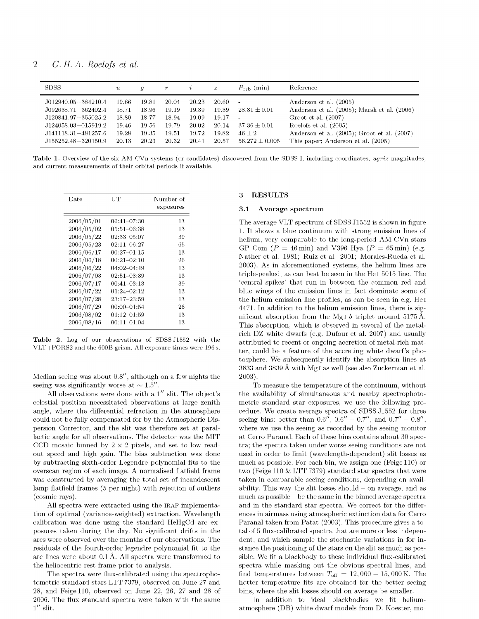| <b>SDSS</b>                                                                                                                              | $\boldsymbol{u}$                                   | a                                                  | r                                                  | $\hat{i}$                                          | $\boldsymbol{z}$                                         | $P_{\rm orb}$ (min)                                                                | Reference                                                                                                                                                                                                              |
|------------------------------------------------------------------------------------------------------------------------------------------|----------------------------------------------------|----------------------------------------------------|----------------------------------------------------|----------------------------------------------------|----------------------------------------------------------|------------------------------------------------------------------------------------|------------------------------------------------------------------------------------------------------------------------------------------------------------------------------------------------------------------------|
| J012940.05+384210.4<br>$J092638.71+362402.4$<br>J120841.97+355025.2<br>J124058.03-015919.2<br>J141118.31+481257.6<br>J155252.48+320150.9 | 19.66<br>18.71<br>18.80<br>19.46<br>19.28<br>20.13 | 19.81<br>18.96<br>18.77<br>19.56<br>19.35<br>20.23 | 20.04<br>19.19<br>18.94<br>19.79<br>19.51<br>20.32 | 20.23<br>19.39<br>19.09<br>20.02<br>19.72<br>20.41 | 20.60<br>19.39<br>$19.17 - -$<br>20.14<br>19.82<br>20.57 | $\sim$<br>$28.31 \pm 0.01$<br>$37.36 \pm 0.01$<br>$46 \pm 2$<br>$56.272 \pm 0.005$ | Anderson et al. (2005)<br>Anderson et al. $(2005)$ ; Marsh et al. $(2006)$<br>Groot et al. $(2007)$<br>Roelofs et al. (2005)<br>Anderson et al. $(2005)$ ; Groot et al. $(2007)$<br>This paper; Anderson et al. (2005) |

<span id="page-1-0"></span>Table 1. Overview of the six AM CVn systems (or candidates) discovered from the SDSS-I, including coordinates, *ugriz* magnitudes, and current measurements of their orbital periods if available.

| UT              | Number of<br>exposures |
|-----------------|------------------------|
| 06:41–07:30     | 13                     |
| 05:51–06:38     | 13                     |
| $02:33 - 05:07$ | 39                     |
| 02:11–06:27     | 65                     |
| $00:27 - 01:15$ | 13                     |
| $00:21 - 02:10$ | 26                     |
| 04:02–04:49     | 13                     |
| 02:51-03:39     | 13                     |
| $00:41 - 03:13$ | 39                     |
| 01:24-02:12     | 13                     |
| $23:17 - 23:59$ | 13                     |
| $00:00 - 01:54$ | 26                     |
| 01:12-01:59     | 13                     |
| $00:11 - 01:04$ | 13                     |
|                 |                        |

<span id="page-1-1"></span>Table 2. Log of our observations of SDSS J1552 with the  $VLT + FORS2$  and the 600B grism. All exposure times were 196 s.

Median seeing was about  $0.8''$ , although on a few nights the seeing was significantly worse at  $\sim 1.5''$ .

All observations were done with a  $1''$  slit. The object's celestial position necessitated observations at large zenith angle, where the differential refraction in the atmosphere could not be fully compensated for by the Atmospheric Dispersion Corrector, and the slit was therefore set at parallactic angle for all observations. The detector was the MIT CCD mosaic binned by  $2 \times 2$  pixels, and set to low readout speed and high gain. The bias subtraction was done by subtracting sixth-order Legendre polynomial fits to the overscan region of each image. A normalised flatfield frame was constructed by averaging the total set of incandescent lamp flatfield frames (5 per night) with rejection of outliers (cosmic rays).

All spectra were extracted using the IRAF implementation of optimal (variance-weighted) extraction. Wavelength calibration was done using the standard HeHgCd arc exposures taken during the day. No significant drifts in the arcs were observed over the months of our observations. The residuals of the fourth-order legendre polynomial fit to the arc lines were about 0.1 A. All spectra were transformed to the heliocentric rest-frame prior to analysis.

The spectra were flux-calibrated using the spectrophotometric standard stars LTT7379, observed on June 27 and 28, and Feige 110, observed on June 22, 26, 27 and 28 of 2006. The flux standard spectra were taken with the same  $1''$  slit.

## **3 RESULTS**

#### **3.1 Average spectrum**

The average VLT spectrum of SDSS J1552 is shown in figure [1.](#page-2-0) It shows a blue continuum with strong emission lines of helium, very comparable to the long-period AM CVn stars GP Com  $(P = 46 \text{ min})$  and V396 Hya  $(P = 65 \text{ min})$  (e.g. [Nather et al. 1981](#page-5-4)[; Ruiz et al. 2001](#page-5-5)[; Morales-Rueda et al.](#page-5-6) [2003](#page-5-6)). As in aforementioned systems, the helium lines are triple-peaked, as can best be seen in the He I 5015 line. The 'central spikes' that run in between the common red and blue wings of the emission lines in fact dominate some of the helium emission line profiles, as can be seen in e.g. He I 4471. In addition to the helium emission lines, there is significant absorption from the Mg<sub>I</sub>  $b$  triplet around 5175 Å. This absorption, which is observed in several of the metalrich DZ white dwarfs (e.g[. Dufour et al. 2007\)](#page-4-3) and usually attributed to recent or ongoing accretion of metal-rich matter, could be a feature of the accreting white dwarf's photosphere. We subsequently identify the absorption lines at 3833 and 3839 A with Mg I as well (see also [Zuckerman et al.](#page-5-1) [2003](#page-5-1)).

To measure the temperature of the continuum, without the availability of simultaneous and nearby spectrophotometric standard star exposures, we use the following procedure. We create average spectra of SDSS J1552 for three seeing bins: better than  $0.6''$ ,  $0.6'' - 0.7''$ , and  $0.7'' - 0.8''$ , where we use the seeing as recorded by the seeing monitor at Cerro Paranal. Each of these bins contains about 30 spectra; the spectra taken under worse seeing conditions are not used in order to limit (wavelength-dependent) slit losses as much as possible. For each bin, we assign one (Feige 110) or two (Feige 110  $&$  LTT 7379) standard star spectra that were taken in comparable seeing conditions, depending on availability. This way the slit losses should - on average, and as much as possible - be the same in the binned average spectra and in the standard star spectra. We correct for the differences in airmass using atmospheric extinction data for Cerro Paranal taken from [Patat \(2003](#page-5-0)). This procedure gives a total of 5 flux-calibrated spectra that are more or less independent, and which sample the stochastic variations in for instance the positioning of the stars on the slit as much as possible. We fit a blackbody to these individual flux-calibrated spectra while masking out the obvious spectral lines, and find temperatures between  $T_{\text{eff}} = 12,000 - 15,000 \text{ K}$ . The hotter temperature fits are obtained for the better seeing bins, where the slit losses should on average be smaller.

In addition to ideal blackbodies we fit heliumatmosphere (DB) white dwarf models from D. Koester, mo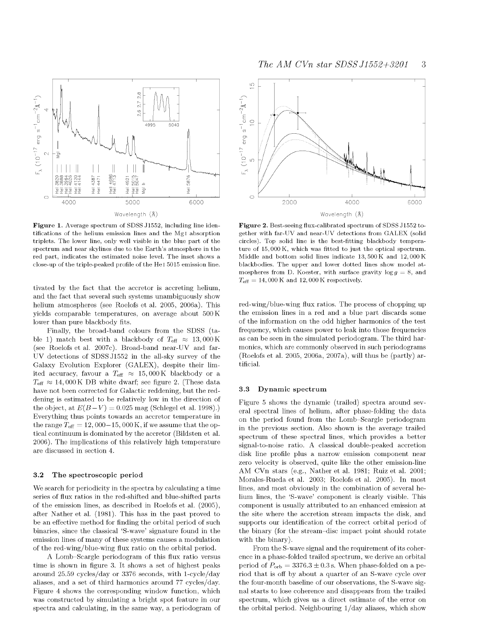

<span id="page-2-0"></span>Figure 1. Average spectrum of SDSS J1552, including line identifications of the helium emission lines and the MgI absorption triplets. The lower line, only well visible in the blue part of the spectrum and near skylines due to the Earth's atmosphere in the red part, indicates the estimated noise level. The inset shows a close-up of the triple-peaked profile of the He<sub>1</sub> 5015 emission line.

tivated by the fact that the accretor is accreting helium, and the fact that several such systems unambiguously show helium atmospheres (see [Roelofs et al. 2005, 2006a](#page-5-2)). This yields comparable temperatures, on average about 500 K lower than pure blackbody fits.

Finally, the broad-band colours from the SDSS (ta-ble [1\)](#page-1-0) match best with a blackbody of  $T_{\text{eff}} \approx 13,000 \,\text{K}$ (se[e Roelofs et al. 2007c\)](#page-5-2). Broad-band near-UV and far-UV detections of SDSSJ1552 in the all-sky survey of the Galaxy Evolution Explorer (GALEX), despite their limited accuracy, favour a  $T_{\text{eff}} \approx 15,000 \text{ K}$  blackbody or a  $T_{\text{eff}} \approx 14,000 \,\text{K}$  DB white dwarf; see figur[e 2.](#page-2-1) (These data have not been corrected for Galactic reddening, but the reddening is estimated to be relatively low in the direction of the object, at  $E(B-V) = 0.025$  mag [\(Schlegel et al. 1998\)](#page-5-7).) Everything thus points towards an accretor temperature in the range  $T_{\text{eff}} = 12,000-15,000 \text{ K}$ , if we assume that the optical continuum is dominated by the accretor [\(Bildsten et al.](#page-4-1) [2006](#page-4-1)). The implications of this relatively high temperature are discussed in section [4.](#page-3-0)

#### **3.2 The spectroscopic period**

We search for periodicity in the spectra by calculating a time series of flux ratios in the red-shifted and blue-shifted parts of the emission lines, as described in [Roelofs et al. \(2005\)](#page-5-2), after [Nather et al. \(1981](#page-5-4)). This has in the past proved to be an effective method for finding the orbital period of such binaries, since the classical 'S-wave' signature found in the emission lines of many of these systems causes a modulation of the red-wing/blue-wing flux ratio on the orbital period.

A Lomb-Scargle periodogram of this flux ratio versus time is shown in figur[e 3.](#page-4-4) It shows a set of highest peaks around 25.59 cycles/day or 3376 seconds, with 1-cycle/day aliases, and a set of third harmonics around 77 cycles/day. Figure [4 s](#page-4-5)hows the corresponding window function, which was constructed by simulating a bright spot feature in our spectra and calculating, in the same way, a periodogram of



<span id="page-2-1"></span>Figure 2. Best-seeing flux-calibrated spectrum of SDSS J1552 together with far-UV and near-UV detections from GALEX (solid circles). Top solid line is the best-fitting blackbody temperature of 15,000 K, which was fitted to just the optical spectrum. Middle and bottom solid lines indicate 13,500 K and 12,000 K blackbodies. The upper and lower dotted lines show model atmospheres from D. Koester, with surface gravity  $log\ g = 8$ , and  $T_{\text{eff}} = 14,000 \text{ K}$  and 12,000 K respectively.

red-wing/blue-wing flux ratios. The process of chopping up the emission lines in a red and a blue part discards some of the information on the odd higher harmonics of the test frequency, which causes power to leak into those frequencies as can be seen in the simulated periodogram. The third harmonics, which are commonly observed in such periodograms [\(Roelofs et al. 2005, 2006a, 2007a](#page-5-2)), will thus be (partly) artificial.

#### **3.3 Dynam ic spectrum**

Figure [5 s](#page-3-1)hows the dynamic (trailed) spectra around several spectral lines of helium, after phase-folding the data on the period found from the Lomb-Scargle periodogram in the previous section. Also shown is the average trailed spectrum of these spectral lines, which provides a better signal-to-noise ratio. A classical double-peaked accretion disk line profile plus a narrow emission component near zero velocity is observed, quite like the other emission-line AM CVn stars (e.g., [Nather et al. 1981](#page-5-4)[; Ruiz et al. 2001](#page-5-5); [Morales-Rueda et al. 2003](#page-5-6)[; Roelofs et al. 2005](#page-5-2)). In most lines, and most obviously in the combination of several helium lines, the 'S-wave' component is clearly visible. This component is usually attributed to an enhanced emission at the site where the accretion stream impacts the disk, and supports our identification of the correct orbital period of the binary (for the stream-disc impact point should rotate with the binary).

From the S-wave signal and the requirement of its coherence in a phase-folded trailed spectrum, we derive an orbital period of  $P_{\rm orb} = 3376.3 \pm 0.3$  s. When phase-folded on a period that is off by about a quarter of an S-wave cycle over the four-month baseline of our observations, the S-wave signal starts to lose coherence and disappears from the trailed spectrum, which gives us a direct estimate of the error on the orbital period. Neighbouring 1/day aliases, which show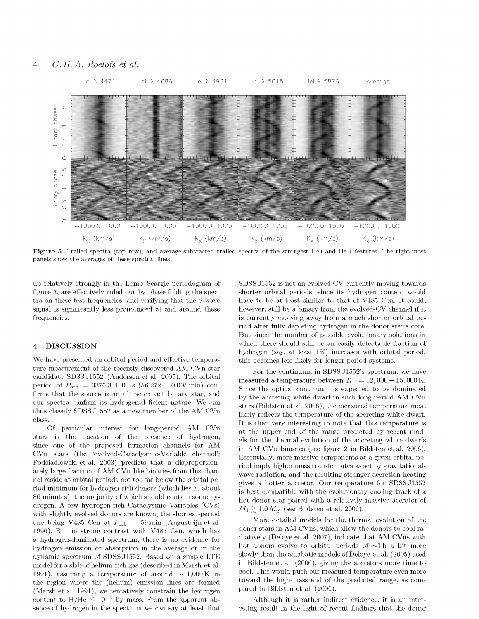# 4 *G.H. A. Roelofs et al.*



<span id="page-3-1"></span>Figure 5. Trailed spectra (top row), and average-subtracted trailed spectra of the strongest He I and He II features. The right-most panels show the averages of these spectral lines.

up relatively strongly in the Lomb-Scargle periodogram of figure [3](#page-4-4), are effectively ruled out by phase-folding the spectra on these test frequencies, and verifying that the S-wave signal is significantly less pronounced at and around these frequencies.

#### <span id="page-3-0"></span>**4 D ISC U SSIO N**

We have presented an orbital period and effective temperature measurement of the recently discovered AM CVn star candidate SDSSJ1552 [\(Anderson et al. 2005\)](#page-4-1). The orbital period of  $P_{\rm orb} = 3376.3 \pm 0.3$  s  $(56.272 \pm 0.005 \,\rm{min})$  confirms that the source is an ultracompact binary star, and our spectra confirm its hydrogen-deficient nature. We can thus classify SDSS J1552 as a new member of the AM CVn class.

Of particular interest for long-period AM CVn stars is the question of the presence of hydrogen, since one of the proposed formation channels for AM CVn stars (the 'evolved-Cataclysmic-Variable channel'; [Podsiadlowski et al. 2003](#page-5-0)) predicts that a disproportionately large fraction of AM CVn-like binaries from this channel reside at orbital periods not too far below the orbital period minimum for hydrogen-rich donors (which lies at about 80 minutes), the majority of which should contain some hydrogen. A few hydrogen-rich Cataclysmic Variables (CVs) with slightly evolved donors are known, the shortest-period one being V485 Cen at  $P_{\rm orb} = 59$  min [\(Augusteijn et al.](#page-4-1) [1996](#page-4-1)). But in strong contrast with V485 Cen, which has a hydrogen-dominated spectrum, there is no evidence for hydrogen emission or absorption in the average or in the dynamic spectrum of SDSSJ1552. Based on a simple LTE model for a slab of helium-rich gas (described in [Marsh et al.](#page-5-6) [1991](#page-5-6)), assuming a temperature of around  $\sim$ 11,000K in the region where the (helium) emission lines are formed [\(Marsh et al. 1991](#page-5-6)), we tentatively constrain the hydrogen content to H/He  $\lesssim 10^{-4}$  by mass. From the apparent absence of hydrogen in the spectrum we can say at least that

SDSS J1552 is not an evolved CV currently moving towards shorter orbital periods, since its hydrogen content would have to be at least similar to that of V485 Cen. It could, however, still be a binary from the evolved-CV channel if it is currently evolving away from a much shorter orbital period after fully depleting hydrogen in the donor star's core. But since the number of possible evolutionary solutions in which there should still be an easily detectable fraction of hydrogen (say, at least 1%) increases with orbital period, this becomes less likely for longer-period systems.

For the continuum in SDSS J1552's spectrum, we have measured a temperature between  $T_{\text{eff}} = 12,000 - 15,000 \text{ K}.$ Since the optical continuum is expected to be dominated by the accreting white dwarf in such long-period AM CVn stars [\(Bildsten et al. 2006](#page-4-1)), the measured temperature most likely reflects the temperature of the accreting white dwarf. It is then very interesting to note that this temperature is at the upper end of the range predicted by recent models for the thermal evolution of the accreting white dwarfs in AM CVn binaries (see figure 2 in [Bildsten et al. 2006\)](#page-4-1). Essentially, more massive components at a given orbital period imply higher mass transfer rates as set by gravitationalwave radiation, and the resulting stronger accretion heating gives a hotter accretor. Our temperature for SDSS J1552 is best compatible with the evolutionary cooling track of a hot donor star paired with a relatively massive accretor of  $M_1 \gtrsim 1.0 M_{\odot}$  (se[e Bildsten et al. 2006](#page-4-1)).

More detailed models for the thermal evolution of the donor stars in AM CVns, which allow the donors to cool radiatively [\(Deloye et al. 2007\)](#page-4-6), indicate that AM CVns with hot donors evolve to orbital periods of  $\sim 1$  h a bit more slowly than the adiabatic models of [Deloye et al. \(2005](#page-4-6)) used in [Bildsten et al. \(2006\)](#page-4-1), giving the accretors more time to cool. This would push our measured temperature even more toward the high-mass end of the predicted range, as compared to [Bildsten et al. \(2006](#page-4-1)).

Although it is rather indirect evidence, it is an interesting result in the light of recent findings that the donor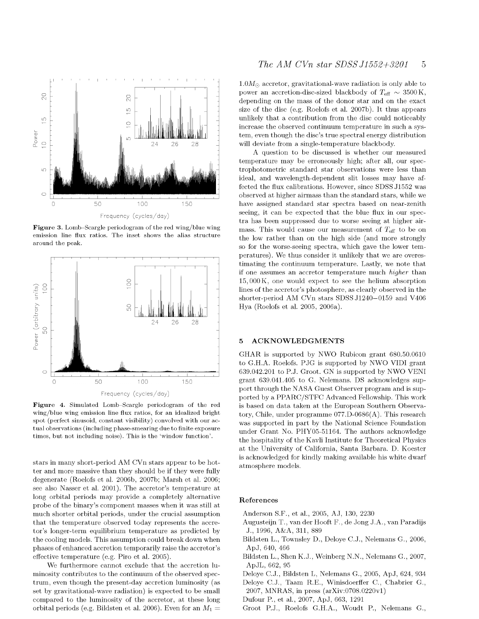

<span id="page-4-4"></span>Figure 3. Lomb-Scargle periodogram of the red wing/blue wing emission line flux ratios. The inset shows the alias structure around the peak.



<span id="page-4-5"></span>Figure 4. Simulated Lomb-Scargle periodogram of the red wing/blue wing emission line flux ratios, for an idealized bright spot (perfect sinusoid, constant visibility) convolved with our actual observations (including phase-smearing due to finite exposure times, but not including noise). This is the 'window function'.

stars in many short-period AM CVn stars appear to be hotter and more massive than they should be if they were fully degenerate [\(Roelofs et al. 2006b, 2007b](#page-5-2)[; Marsh et al. 2006](#page-5-3); see also [Nasser et al. 2001](#page-5-6)). The accretor's temperature at long orbital periods may provide a completely alternative probe of the binary's component masses when it was still at much shorter orbital periods, under the crucial assumption that the temperature observed today represents the accretor's longer-term equilibrium temperature as predicted by the cooling models. This assumption could break down when phases of enhanced accretion temporarily raise the accretor's effective temperature (e.g. [Piro et al. 2005](#page-5-0)).

We furthermore cannot exclude that the accretion luminosity contributes to the continuum of the observed spectrum, even though the present-day accretion luminosity (as set by gravitational-wave radiation) is expected to be small compared to the luminosity of the accretor, at these long orbital periods (e.g. [Bildsten et al. 2006](#page-4-1)). Even for an  $M_1 =$ 

 $1.0 M_{\odot}$  accretor, gravitational-wave radiation is only able to power an accretion-disc-sized blackbody of  $T_{\text{eff}} \sim 3500 \,\text{K}$ , depending on the mass of the donor star and on the exact size of the disc (e.g. [Roelofs et al. 2007b](#page-5-2)). It thus appears unlikely that a contribution from the disc could noticeably increase the observed continuum temperature in such a system, even though the disc's true spectral energy distribution will deviate from a single-temperature blackbody.

A question to be discussed is whether our measured temperature may be erroneously high; after all, our spectrophotometric standard star observations were less than ideal, and wavelength-dependent slit losses may have affected the flux calibrations. However, since SDSS J1552 was observed at higher airmass than the standard stars, while we have assigned standard star spectra based on near-zenith seeing, it can be expected that the blue flux in our spectra has been suppressed due to worse seeing at higher airmass. This would cause our measurement of  $T_{\text{eff}}$  to be on the low rather than on the high side (and more strongly so for the worse-seeing spectra, which gave the lower temperatures). We thus consider it unlikely that we are overestimating the continuum temperature. Lastly, we note that if one assumes an accretor temperature much *higher* than 15, 000 K, one would expect to see the helium absorption lines of the accretor's photosphere, as clearly observed in the shorter-period AM CVn stars SDSS J1240—0159 and V406 Hya [\(Roelofs et al. 2005, 2006a\)](#page-5-2).

### **5 ACKNOWLEDGMENTS**

GHAR is supported by NWO Rubicon grant 680.50.0610 to G.H.A. Roelofs. PJG is supported by NWO VIDI grant 639.042.201 to P.J. Groot. GN is supported by NWO VENI grant 639.041.405 to G. Nelemans. DS acknowledges support through the NASA Guest Observer program and is supported by a PPARC/STFC Advanced Fellowship. This work is based on data taken at the European Southern Observatory, Chile, under programme 077.D-0686(A). This research was supported in part by the National Science Foundation under Grant No. PHY05-51164. The authors acknowledge the hospitality of the Kavli Institute for Theoretical Physics at the University of California, Santa Barbara. D. Koester is acknowledged for kindly making available his white dwarf atmosphere models.

#### <span id="page-4-1"></span>**References**

- Anderson S.F., et al., 2005, AJ, 130, 2230
- Augusteijn T., van der Hooft F., de Jong J.A., van Paradijs J., 1996, A&A, 311, 889
- Bildsten L., Townsley D., Deloye C.J., Nelemans G., 2006, ApJ, 640, 466
- <span id="page-4-0"></span>Bildsten L., Shen K.J., Weinberg N.N., Nelemans G., 2007, ApJL, 662, 95
- <span id="page-4-6"></span>Deloye C.J., Bildsten L, Nelemans G., 2005, ApJ, 624, 934
- Deloye C.J., Taam R.E., Winisdoerffer C., Chabrier G., 2007, MNRAS, in press [\(arXiv:0708.0220v1](http://arXiv.org/abs/0708.0220))
- <span id="page-4-3"></span>Dufour P., et al., 2007, ApJ, 663, 1291
- <span id="page-4-2"></span>Groot P.J., Roelofs G.H.A., Woudt P., Nelemans G.,